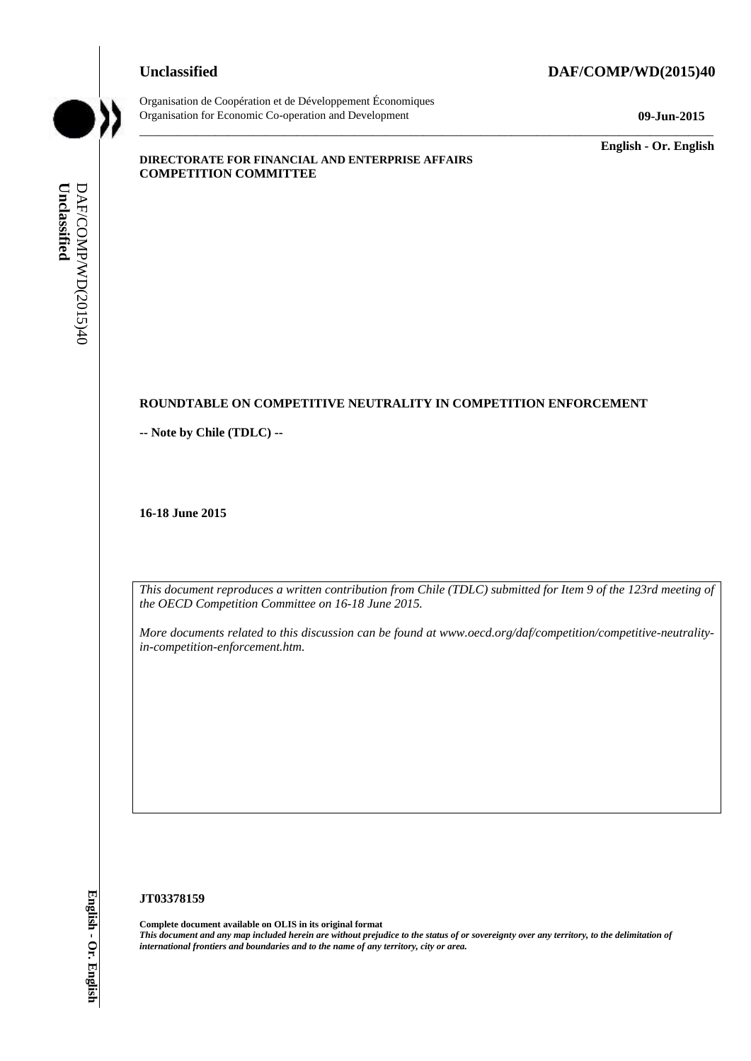## **Unclassified DAF/COMP/WD(2015)40**



Organisation de Coopération et de Développement Économiques Organisation for Economic Co-operation and Development **09-Jun-2015**

\_\_\_\_\_\_\_\_\_\_\_\_\_ **English - Or. English**

### **DIRECTORATE FOR FINANCIAL AND ENTERPRISE AFFAIRS COMPETITION COMMITTEE**

## **ROUNDTABLE ON COMPETITIVE NEUTRALITY IN COMPETITION ENFORCEMENT**

 $\_$  ,  $\_$  ,  $\_$  ,  $\_$  ,  $\_$  ,  $\_$  ,  $\_$  ,  $\_$  ,  $\_$  ,  $\_$  ,  $\_$  ,  $\_$  ,  $\_$  ,  $\_$  ,  $\_$  ,  $\_$  ,  $\_$  ,  $\_$  ,  $\_$  ,  $\_$  ,  $\_$  ,  $\_$  ,  $\_$  ,  $\_$  ,  $\_$  ,  $\_$  ,  $\_$  ,  $\_$  ,  $\_$  ,  $\_$  ,  $\_$  ,  $\_$  ,  $\_$  ,  $\_$  ,  $\_$  ,  $\_$  ,  $\_$  ,

**-- Note by Chile (TDLC) --**

**16-18 June 2015**

*This document reproduces a written contribution from Chile (TDLC) submitted for Item 9 of the 123rd meeting of the OECD Competition Committee on 16-18 June 2015.* 

*More documents related to this discussion can be found at www.oecd.org/daf/competition/competitive-neutralityin-competition-enforcement.htm.*

### **JT03378159**

**Complete document available on OLIS in its original format** *This document and any map included herein are without prejudice to the status of or sovereignty over any territory, to the delimitation of*  **iii** *international frontiers and boundaries and boundaries and to the name of any territorial from the name of any territory or area.<br> If the name of any term is elected to this discussion can be found at vector.<br>
<i>How*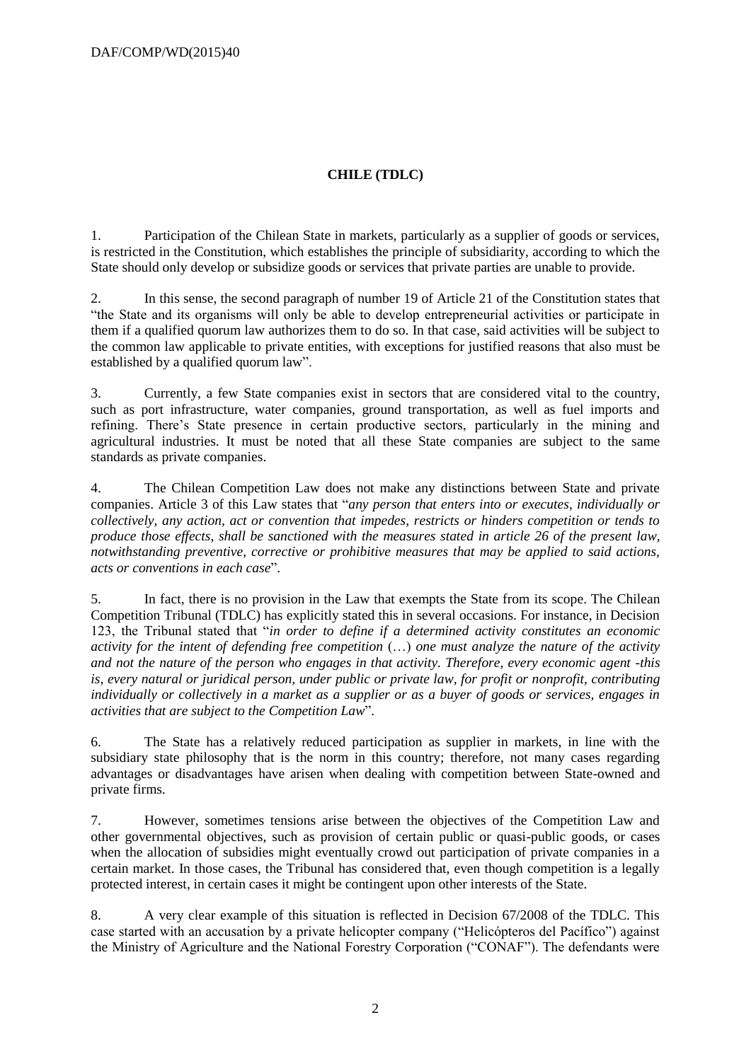# **CHILE (TDLC)**

1. Participation of the Chilean State in markets, particularly as a supplier of goods or services, is restricted in the Constitution, which establishes the principle of subsidiarity, according to which the State should only develop or subsidize goods or services that private parties are unable to provide.

2. In this sense, the second paragraph of number 19 of Article 21 of the Constitution states that "the State and its organisms will only be able to develop entrepreneurial activities or participate in them if a qualified quorum law authorizes them to do so. In that case, said activities will be subject to the common law applicable to private entities, with exceptions for justified reasons that also must be established by a qualified quorum law".

3. Currently, a few State companies exist in sectors that are considered vital to the country, such as port infrastructure, water companies, ground transportation, as well as fuel imports and refining. There's State presence in certain productive sectors, particularly in the mining and agricultural industries. It must be noted that all these State companies are subject to the same standards as private companies.

4. The Chilean Competition Law does not make any distinctions between State and private companies. Article 3 of this Law states that "*any person that enters into or executes, individually or collectively, any action, act or convention that impedes, restricts or hinders competition or tends to produce those effects, shall be sanctioned with the measures stated in article 26 of the present law, notwithstanding preventive, corrective or prohibitive measures that may be applied to said actions, acts or conventions in each case*".

5. In fact, there is no provision in the Law that exempts the State from its scope. The Chilean Competition Tribunal (TDLC) has explicitly stated this in several occasions. For instance, in Decision 123, the Tribunal stated that "*in order to define if a determined activity constitutes an economic activity for the intent of defending free competition* (…) *one must analyze the nature of the activity and not the nature of the person who engages in that activity. Therefore, every economic agent -this is, every natural or juridical person, under public or private law, for profit or nonprofit, contributing individually or collectively in a market as a supplier or as a buyer of goods or services, engages in activities that are subject to the Competition Law*".

6. The State has a relatively reduced participation as supplier in markets, in line with the subsidiary state philosophy that is the norm in this country; therefore, not many cases regarding advantages or disadvantages have arisen when dealing with competition between State-owned and private firms.

7. However, sometimes tensions arise between the objectives of the Competition Law and other governmental objectives, such as provision of certain public or quasi-public goods, or cases when the allocation of subsidies might eventually crowd out participation of private companies in a certain market. In those cases, the Tribunal has considered that, even though competition is a legally protected interest, in certain cases it might be contingent upon other interests of the State.

8. A very clear example of this situation is reflected in Decision 67/2008 of the TDLC. This case started with an accusation by a private helicopter company ("Helicópteros del Pacífico") against the Ministry of Agriculture and the National Forestry Corporation ("CONAF"). The defendants were